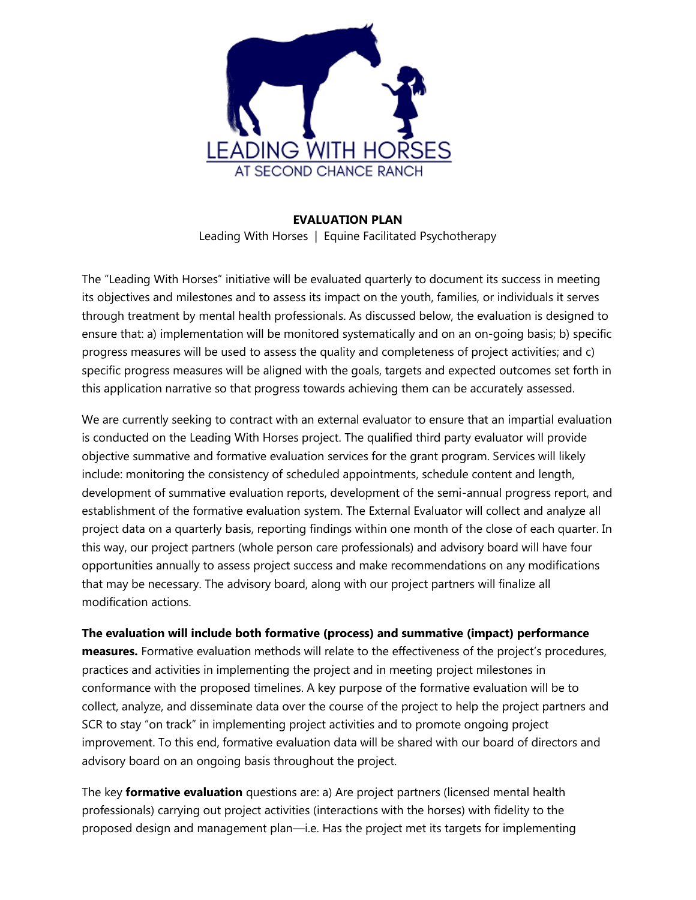

**EVALUATION PLAN** Leading With Horses | Equine Facilitated Psychotherapy

The "Leading With Horses" initiative will be evaluated quarterly to document its success in meeting its objectives and milestones and to assess its impact on the youth, families, or individuals it serves through treatment by mental health professionals. As discussed below, the evaluation is designed to ensure that: a) implementation will be monitored systematically and on an on-going basis; b) specific progress measures will be used to assess the quality and completeness of project activities; and c) specific progress measures will be aligned with the goals, targets and expected outcomes set forth in this application narrative so that progress towards achieving them can be accurately assessed.

We are currently seeking to contract with an external evaluator to ensure that an impartial evaluation is conducted on the Leading With Horses project. The qualified third party evaluator will provide objective summative and formative evaluation services for the grant program. Services will likely include: monitoring the consistency of scheduled appointments, schedule content and length, development of summative evaluation reports, development of the semi-annual progress report, and establishment of the formative evaluation system. The External Evaluator will collect and analyze all project data on a quarterly basis, reporting findings within one month of the close of each quarter. In this way, our project partners (whole person care professionals) and advisory board will have four opportunities annually to assess project success and make recommendations on any modifications that may be necessary. The advisory board, along with our project partners will finalize all modification actions.

**The evaluation will include both formative (process) and summative (impact) performance measures.** Formative evaluation methods will relate to the effectiveness of the project's procedures, practices and activities in implementing the project and in meeting project milestones in conformance with the proposed timelines. A key purpose of the formative evaluation will be to collect, analyze, and disseminate data over the course of the project to help the project partners and SCR to stay "on track" in implementing project activities and to promote ongoing project improvement. To this end, formative evaluation data will be shared with our board of directors and advisory board on an ongoing basis throughout the project.

The key **formative evaluation** questions are: a) Are project partners (licensed mental health professionals) carrying out project activities (interactions with the horses) with fidelity to the proposed design and management plan—i.e. Has the project met its targets for implementing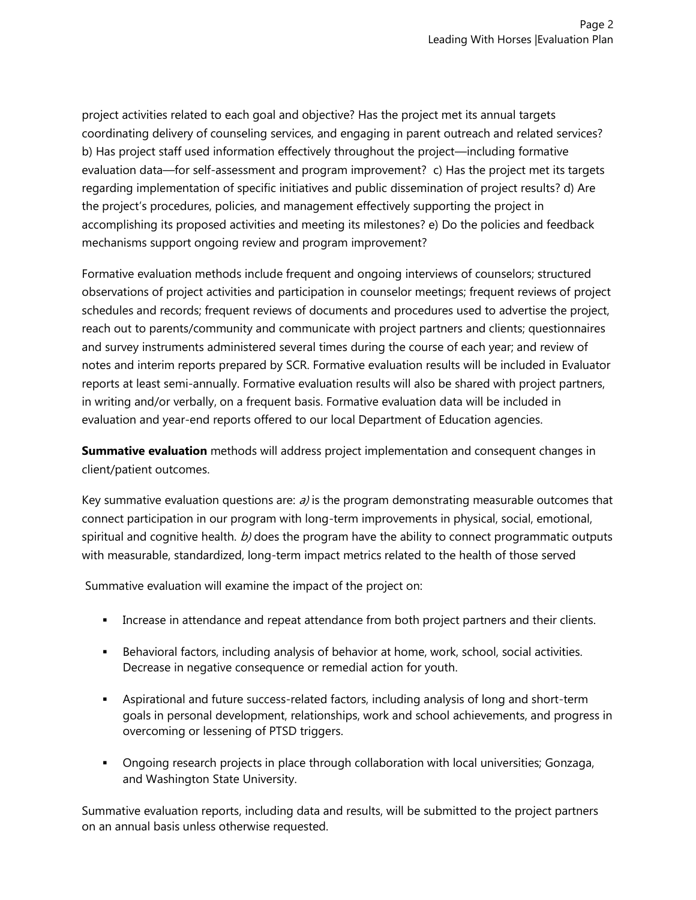project activities related to each goal and objective? Has the project met its annual targets coordinating delivery of counseling services, and engaging in parent outreach and related services? b) Has project staff used information effectively throughout the project—including formative evaluation data—for self-assessment and program improvement? c) Has the project met its targets regarding implementation of specific initiatives and public dissemination of project results? d) Are the project's procedures, policies, and management effectively supporting the project in accomplishing its proposed activities and meeting its milestones? e) Do the policies and feedback mechanisms support ongoing review and program improvement?

Formative evaluation methods include frequent and ongoing interviews of counselors; structured observations of project activities and participation in counselor meetings; frequent reviews of project schedules and records; frequent reviews of documents and procedures used to advertise the project, reach out to parents/community and communicate with project partners and clients; questionnaires and survey instruments administered several times during the course of each year; and review of notes and interim reports prepared by SCR. Formative evaluation results will be included in Evaluator reports at least semi-annually. Formative evaluation results will also be shared with project partners, in writing and/or verbally, on a frequent basis. Formative evaluation data will be included in evaluation and year-end reports offered to our local Department of Education agencies.

**Summative evaluation** methods will address project implementation and consequent changes in client/patient outcomes.

Key summative evaluation questions are:  $a$ ) is the program demonstrating measurable outcomes that connect participation in our program with long-term improvements in physical, social, emotional, spiritual and cognitive health.  $b$ ) does the program have the ability to connect programmatic outputs with measurable, standardized, long-term impact metrics related to the health of those served

Summative evaluation will examine the impact of the project on:

- **•** Increase in attendance and repeat attendance from both project partners and their clients.
- **EXECT A** Behavioral factors, including analysis of behavior at home, work, school, social activities. Decrease in negative consequence or remedial action for youth.
- Aspirational and future success-related factors, including analysis of long and short-term goals in personal development, relationships, work and school achievements, and progress in overcoming or lessening of PTSD triggers.
- Ongoing research projects in place through collaboration with local universities; Gonzaga, and Washington State University.

Summative evaluation reports, including data and results, will be submitted to the project partners on an annual basis unless otherwise requested.